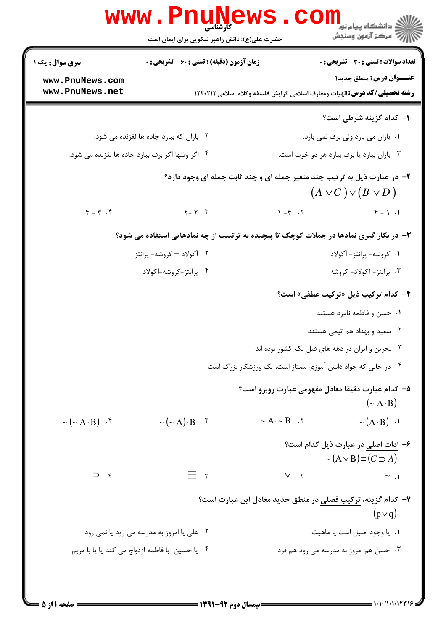|                                              | www.PnuNews                                                                                     |                                                              | دانشگاه پیام نور<br>ا∛ مرکز آزمون وسنجش                                         |
|----------------------------------------------|-------------------------------------------------------------------------------------------------|--------------------------------------------------------------|---------------------------------------------------------------------------------|
|                                              | حضرت علی(ع): دانش راهبر نیکویی برای ایمان است                                                   |                                                              |                                                                                 |
| <b>سری سوال :</b> یک ۱                       | زمان آزمون (دقیقه) : تستی : ۶۰٪ تشریحی : ۰                                                      |                                                              | <b>تعداد سوالات : تستی : 30 ٪ تشریحی : 0</b>                                    |
| www.PnuNews.com<br>www.PnuNews.net           |                                                                                                 |                                                              | <b>عنـــوان درس:</b> منطق جدید۱                                                 |
|                                              |                                                                                                 |                                                              | <b>رشته تحصیلی/کد درس:</b> الهیات ومعارف اسلامی گرایش فلسفه وکلام اسلامی۱۲۲۰۲۱۳ |
|                                              |                                                                                                 |                                                              | ۱- کدام گزینه شرطی است؟                                                         |
|                                              | ۰۲ باران که ببارد جاده ها لغزنده می شود.                                                        |                                                              | ٠١. باران مي بارد ولي برف نمي بارد.                                             |
|                                              | ۰۴ اگر وتنها اگر برف ببارد جاده ها لغزنده می شود.                                               |                                                              | ۰۳ باران ببارد یا برف ببارد هر دو خوب است.                                      |
|                                              | <b>۲</b> - در عبارت ذیل به ترتیب چند <mark>متغیر جمله ای و</mark> چند ثابت جمله ای وجود دارد؟   |                                                              | $(A \vee C) \vee (B \vee D)$                                                    |
| $\mathfrak{F}=\mathfrak{r}$ . $\mathfrak{F}$ | $Y - Y$ .                                                                                       | $\uparrow -\uparrow -\uparrow$                               | $\mathfrak{F} = \mathfrak{h} \cdot \mathfrak{h}$                                |
|                                              | <b>۳</b> - در بکار گیری نمادها در جملات کوچک تا پیچیده به ترتیبب از چه نمادهایی استفاده می شود؟ |                                                              |                                                                                 |
|                                              | ۰۲ آکولاد – کروشه- پرانتز                                                                       |                                                              | ۰۱ کروشه- پرانتز- آکولاد                                                        |
|                                              | ۰۴ پرانتز-کروشه-آکولاد                                                                          |                                                              | ۰۳ پرانتز- آکولاد- کروشه                                                        |
|                                              |                                                                                                 |                                                              | ۴- کدام ترکیب ذیل «ترکیب عطفی» است؟                                             |
|                                              |                                                                                                 |                                                              | ۰۱ حسن و فاطمه نامزد هستند                                                      |
|                                              |                                                                                                 |                                                              | ۰۲ سعید و بهداد هم تیمی هستند                                                   |
|                                              |                                                                                                 | ۰۳ بحرین و ایران در دهه های قبل یک کشور بوده اند             |                                                                                 |
|                                              |                                                                                                 | ۰۴ در حالی که جواد دانش آموزی ممتاز است، یک ورزشکار بزرگ است |                                                                                 |
|                                              |                                                                                                 | ۵– کدام عبارت دقیقا معادل مفهومی عبارت روبرو است؟            | $({\sim A \cdot B})$                                                            |
| $\sim (\sim A \cdot B)$ $\cdot$ $\uparrow$   | $\sim (\sim A) \cdot B$ $\cdot$ $\cdot$                                                         | $\sim$ A· $\sim$ B $\,$ . $\,$ Y                             | $\sim (A \cdot B) \cdot$                                                        |
|                                              |                                                                                                 |                                                              | ۶– ادات اصلی در عبارت ذیل کدام است؟<br>$\sim (A \vee B) \equiv (C \supset A)$   |
| $\gamma$ .                                   | $\equiv$ .r                                                                                     | $V_{\cdot}$ , $V_{\cdot}$                                    | $\sim$ .1                                                                       |
|                                              |                                                                                                 | ۷– کدام گزینه، ترکیب فصلی در منطق جدید معادل این عبارت است؟  | $(p \vee q)$                                                                    |
|                                              | ۰۲ علی یا امروز به مدرسه می رود یا نمی رود                                                      |                                                              | ٠١. يا وجود اصيل است يا ماهيت.                                                  |
|                                              | ۰۴ یا حسین با فاطمه ازدواج می کند یا یا با مریم                                                 |                                                              | ۰۳ حسن هم امروز به مدرسه می رود هم فردا                                         |
|                                              |                                                                                                 |                                                              |                                                                                 |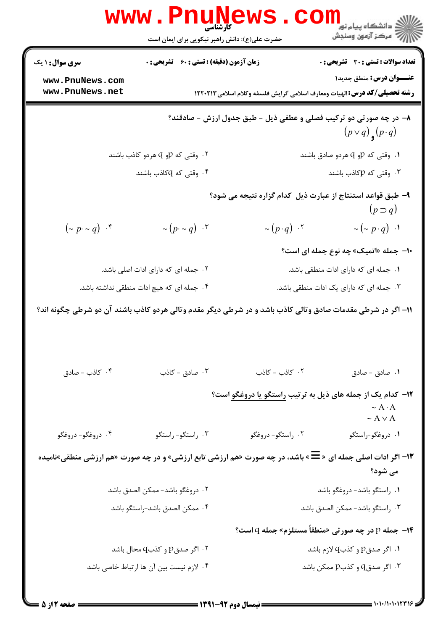|                                    | www.PnuNews                                                                                                 |                      | د دانشگاه پيام نو <mark>ر<br/>چ</mark> مرکز آزمون وسنجش<br>چ                                                        |
|------------------------------------|-------------------------------------------------------------------------------------------------------------|----------------------|---------------------------------------------------------------------------------------------------------------------|
|                                    | حضرت علی(ع): دانش راهبر نیکویی برای ایمان است                                                               |                      |                                                                                                                     |
| <b>سری سوال : ۱ یک</b>             | <b>زمان آزمون (دقیقه) : تستی : 60 ٪ تشریحی : 0</b>                                                          |                      | تعداد سوالات : تستي : 30 - تشريحي : 0                                                                               |
| www.PnuNews.com<br>www.PnuNews.net |                                                                                                             |                      | عنــوان درس: منطق جديد١<br><b>رشته تحصیلی/کد درس: ا</b> لهیات ومعارف اسلامی گرایش فلسفه وکلام اسلامی ۱۲۲۰۲۱۳        |
|                                    |                                                                                                             |                      | ۸– در چه صورتی دو ترکیب فصلی و عطفی ذیل - طبق جدول ارزش - صادقند؟<br>$(p \vee q)$ <sub>9</sub> $(p \cdot q)$        |
|                                    | ۰۲ وقتی که pو q هردو کاذب باشند                                                                             |                      | ۰۱ وقتی که p و q هردو صادق باشند                                                                                    |
|                                    | ۴ . وقتی که $q$ کاذب باشند                                                                                  |                      | ۰۳ وقتی که pکاذب باشند                                                                                              |
|                                    |                                                                                                             |                      | ۹- طبق قواعد استنتاج از عبارت ذیل کدام گزاره نتیجه می شود؟<br>$(p \supset q)$                                       |
| $(-p \sim q)$ .                    | $\sim (p \cdot \sim q)$ .                                                                                   | $\sim (p \cdot q)$ . | $\sim (\sim p \cdot q)$ .                                                                                           |
|                                    |                                                                                                             |                      | ۱۰– جمله «اتمیک» چه نوع جمله ای است؟                                                                                |
|                                    | ۰۲ جمله ای که دارای ادات اصلی باشد.                                                                         |                      | ٠١ جمله ای که دارای ادات منطقی باشد.                                                                                |
|                                    | ۰۴ جمله ای که هیچ ادات منطقی نداشته باشد.                                                                   |                      | ۰۳ جمله ای که دارای یک ادات منطقی باشد.                                                                             |
|                                    | ۱۱– اگر در شرطی مقدمات صادق وتالی کاذب باشد و در شرطی دیگر مقدم وتالی هردو کاذب باشند آن دو شرطی چگونه اند؟ |                      |                                                                                                                     |
| ۰۴ کاذب - صادق                     | ۰۳ صادق - کاذب                                                                                              | ۰۲ کاذب - کاذب       | ۰۱ صادق - صادق                                                                                                      |
|                                    |                                                                                                             |                      | <b>۱۲</b> - کدام یک از جمله های ذیل به ترتیب <u>راستگو ی</u> ا دروغگو است؟<br>$\sim A \cdot A$<br>$\sim$ A $\vee$ A |
| ۰۴ دروغگو- دروغگو                  | ۰۳ راستگو- راستگو                                                                                           | ۰۲ راستگو- دروغگو    | ۰۱ دروغگو-راستگو                                                                                                    |
|                                    | ۱۳- اگر ادات اصلی جمله ای « W » باشد، در چه صورت «هم ارزشی تابع ارزشی» و در چه صورت «هم ارزشی منطقی»نامیده  |                      | می شود؟                                                                                                             |
|                                    | ٠٢ دروغگو باشد- ممكن الصدق باشد                                                                             |                      | ۰۱ راستگو باشد- دروغگو باشد                                                                                         |
|                                    | ۰۴ ممكن الصدق باشد-راستگو باشد                                                                              |                      | ۰۳ راستگو باشد- ممکن الصدق باشد                                                                                     |
|                                    |                                                                                                             |                      | <b>۱۴- جمله p در چه صورتی «منطقاً مستلزم» جمله q است؟</b>                                                           |
|                                    | ۰۲ اگر صدقp و کذبq محال باشد                                                                                |                      | ۰۱ اگر صدقp و کذبq لازم باشد                                                                                        |
|                                    | ۰۴ لازم نیست بین آن ها ارتباط خاصی باشد                                                                     |                      | اگر صدق $\mathsf{q}$ و کذب $\mathsf{p}$ ممکن باشد $\mathsf{r}$                                                      |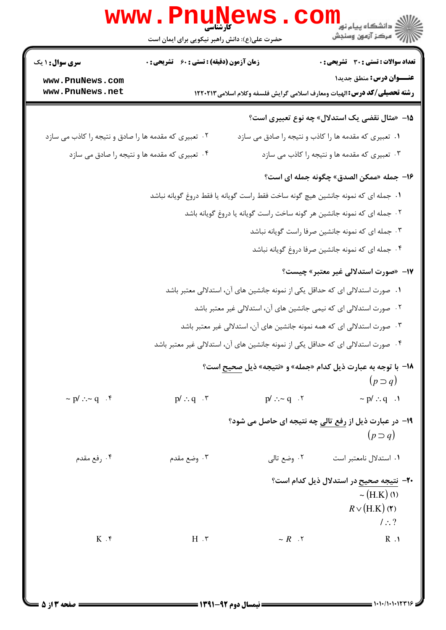|                                                        | www.PnuNews                                   |                                 | <b>الادانشکاه پیام نور LL</b><br>الا دانشکاه پیام نور<br>الا                                                        |
|--------------------------------------------------------|-----------------------------------------------|---------------------------------|---------------------------------------------------------------------------------------------------------------------|
|                                                        | حضرت علی(ع): دانش راهبر نیکویی برای ایمان است |                                 |                                                                                                                     |
| <b>سری سوال : ۱ یک</b>                                 | زمان آزمون (دقیقه) : تستی : 60 گشریحی : 0     |                                 | <b>تعداد سوالات : تستی : 30 ٪ تشریحی : 0</b>                                                                        |
| www.PnuNews.com<br>www.PnuNews.net                     |                                               |                                 | عنــوان درس: منطق جديدا<br><b>رشته تحصیلی/کد درس:</b> الهیات ومعارف اسلامی گرایش فلسفه وکلام اسلامی۱۲۲۰۲۱۳          |
|                                                        |                                               |                                 | ۱۵– «مثال نقضی یک استدلال» چه نوع تعبیری است؟                                                                       |
| ۰۲ تعبیری که مقدمه ها را صادق و نتیجه را کاذب می سازد  |                                               |                                 | ۰۱ تعبیری که مقدمه ها را کاذب و نتیجه را صادق می سازد                                                               |
|                                                        | ۰۴ تعبیری که مقدمه ها و نتیجه را صادق می سازد |                                 | ۰۳ تعبیری که مقدمه ها و نتیجه را کاذب می سازد                                                                       |
|                                                        |                                               |                                 | ۱۶- جمله «ممكن الصدق» چگونه جمله اى است؟                                                                            |
|                                                        |                                               |                                 | ۱.  جمله ای که نمونه جانشین هیچ گونه ساخت فقط راست گویانه یا فقط دروغ گویانه نباشد                                  |
|                                                        |                                               |                                 | ۰۲ جمله ای که نمونه جانشین هر گونه ساخت راست گویانه یا دروغ گویانه باشد                                             |
|                                                        |                                               |                                 | ۰۳ جمله ای که نمونه جانشین صرفا راست گویانه نباشد                                                                   |
|                                                        |                                               |                                 | ۰۴ جمله ای که نمونه جانشین صرفا دروغ گویانه نباشد                                                                   |
|                                                        |                                               |                                 | <b>۱۷</b> - «صورت استدلالی غیر معتبر» چیست؟                                                                         |
|                                                        |                                               |                                 | ۰۱ صورت استدلالی ای که حداقل یکی از نمونه جانشین های آن، استدلالی معتبر باشد                                        |
|                                                        |                                               |                                 | ۰۲ صورت استدلالی ای که نیمی جانشین های آن، استدلالی غیر معتبر باشد                                                  |
|                                                        |                                               |                                 | ۰۳ صورت استدلالی ای که همه نمونه جانشین های آن، استدلالی غیر معتبر باشد                                             |
|                                                        |                                               |                                 | ۰۴ صورت استدلالی ای که حداقل یکی از نمونه جانشین های آن، استدلالی غیر معتبر باشد                                    |
|                                                        |                                               |                                 | 18- با توجه به عبارت ذیل کدام «جمله» و «نتیجه» ذیل صحیح است؟<br>$(p \supset q)$                                     |
| $\sim$ p/ $\therefore \sim$ q $\therefore$ $\check{r}$ | $p'$ : q $\cdot$ $\uparrow$                   | $p'$ : $\sim q$ $\cdot$ $\cdot$ | $~\sim$ p/ $:.$ q $~.1$                                                                                             |
|                                                        |                                               |                                 | ۱۹- در عبارت ذیل از رفع تالی چه نتیجه ای حاصل می شود؟<br>$(p \supset q)$                                            |
| ۰۴ رفع مقدم                                            | ۰۳ وضع مقدم                                   | ۰۲ وضع تالي                     | ۰۱ استدلال نامعتبر است                                                                                              |
| $K$ .۴                                                 | $H \cdot \tau$                                | $\sim R$ . $\tau$               | <b>۲۰</b> - نتیجه صحیح در استدلال ذیل کدام است؟<br>$\sim$ (H.K) (1)<br>$R \vee (H.K)$ (۲)<br>$/$ : ?<br>$R \cdot 1$ |
|                                                        |                                               |                                 |                                                                                                                     |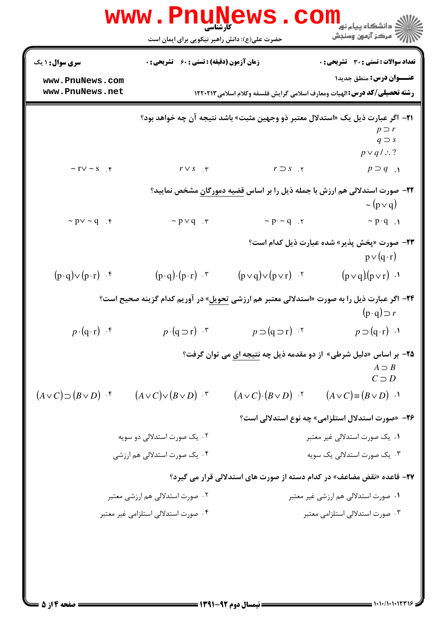|                                    | <b>www.PnuNews</b><br>کارشناسی                   |                                           | ک دانشگاه پیام نور<br>ا∛ مرکز آزمون وسنجش                                                                                                      |
|------------------------------------|--------------------------------------------------|-------------------------------------------|------------------------------------------------------------------------------------------------------------------------------------------------|
|                                    | حضرت علی(ع): دانش راهبر نیکویی برای ایمان است    |                                           |                                                                                                                                                |
| <b>سری سوال : ۱ یک</b>             | <b>زمان آزمون (دقیقه) : تستی : 60 گشریحی : 0</b> |                                           | <b>تعداد سوالات : تستی : 30 ٪ تشریحی : 0</b>                                                                                                   |
| www.PnuNews.com<br>www.PnuNews.net |                                                  |                                           | <b>عنـــوان درس:</b> منطق جدید۱<br><b>رشته تحصیلی/کد درس: ا</b> لهیات ومعارف اسلامی گرایش فلسفه وکلام اسلامی ۱۲۲۰۲۱۳                           |
|                                    |                                                  |                                           | ۲۱−  اگر عبارت ذیل یک «استدلال معتبر ذو وجهین مثبت» باشد نتیجه آن چه خواهد بود؟<br>$p \supset r$<br>$q \supset s$<br>$p \vee q / \therefore$ ? |
| $\sim$ TV $\sim$ S $\phi$          | $r \vee s$ . $\tau$                              | $r \supset s$ . $\mathbf r$               | $p \supset q$ .                                                                                                                                |
|                                    |                                                  |                                           | <b>۲۲</b> - صورت استدلالی هم ارزش با جمله ذیل را بر اساس قضیه دمورگان مشخص نمایید؟<br>$\sim (p \vee q)$                                        |
| $\sim p \vee \sim q$ .             | $\sim p \vee q$ .                                | $\sim p \cdot \sim q$ . $\tau$            | $\sim p \cdot q$ .                                                                                                                             |
|                                    |                                                  |                                           | <b>۲۳</b> – صورت «پخش پذیر» شده عبارت ذیل کدام است؟<br>$p \vee (q \cdot r)$                                                                    |
| $(p \cdot q) \vee (p \cdot r)$ .   | $(p \cdot q) \cdot (p \cdot r)$ $\cdot$ $\cdot$  | $(p \vee q) \vee (p \vee r)$ .            | $(p \vee q)(p \vee r)$ .                                                                                                                       |
|                                    |                                                  |                                           | <b>۲۴</b> – اگر عبارت ذیل را به صورت «استدلالی معتبر هم ارزشی <u>تحویل</u> » در آوریم کدام گزینه صحیح است؟<br>$(p \cdot q) \supset r$          |
| $p \cdot (q \cdot r)$ .            | $p \cdot (q \supset r)$ .                        | $p \supset (q \supset r)$ .               | $p \supset (q \cdot r)$ .                                                                                                                      |
|                                    |                                                  |                                           | ۲۵- بر اساس «دلیل شرطی» از دو مقدمه ذیل چه نتیجه ای می توان گرفت؟<br>$A \supset B$<br>$C \supset D$                                            |
| $(A \vee C) \supset (B \vee D)$ f  | $(A \vee C) \vee (B \vee D)$ .                   | $(A \vee C)$ $(B \vee D)$ $\cdot$ $\cdot$ | $(A \vee C) \equiv (B \vee D)$ .                                                                                                               |
|                                    |                                                  |                                           | <b>۲۶</b> - «صورت استدلال استلزامی» چه نوع استدلالی است؟                                                                                       |
|                                    | ۰۲ یک صورت استدلالی دو سویه                      |                                           | ۰۱ یک صورت استدلالی غیر معتبر                                                                                                                  |
|                                    | ۰۴ یک صورت استدلالی هم ارزشی                     |                                           | ۰۳ یک صورت استدلالی یک سویه                                                                                                                    |
|                                    |                                                  |                                           | <b>۲۷</b> - قاعده «نقض مضاعف» در کدام دسته از صورت های استدلالی قرار می گیرد؟                                                                  |
|                                    | ۰۲ صورت استدلالی هم ارزشی معتبر                  |                                           | ۰۱ صورت استدلالی هم ارزشی غیر معتبر                                                                                                            |
|                                    | ۰۲ صورت استدلالی استلزامی غیر معتبر              |                                           | ۰۳ صورت استدلالی استلزامی معتبر                                                                                                                |
|                                    |                                                  |                                           |                                                                                                                                                |